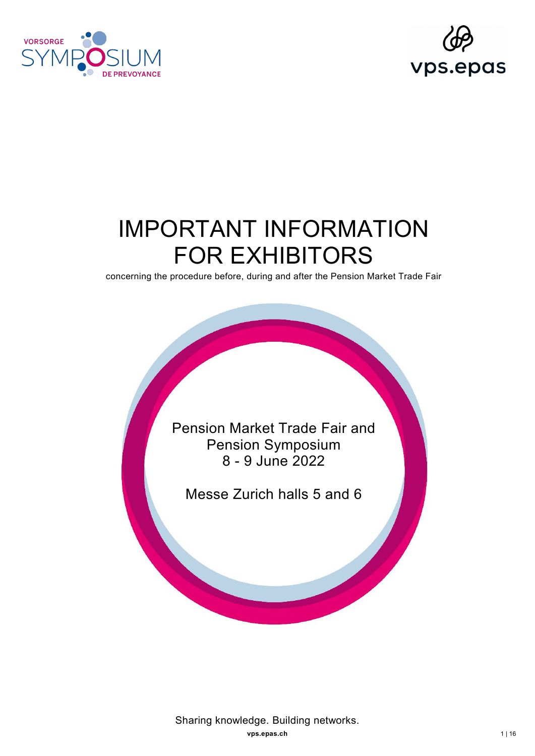



# IMPORTANT INFORMATION FOR EXHIBITORS

concerning the procedure before, during and after the Pension Market Trade Fair

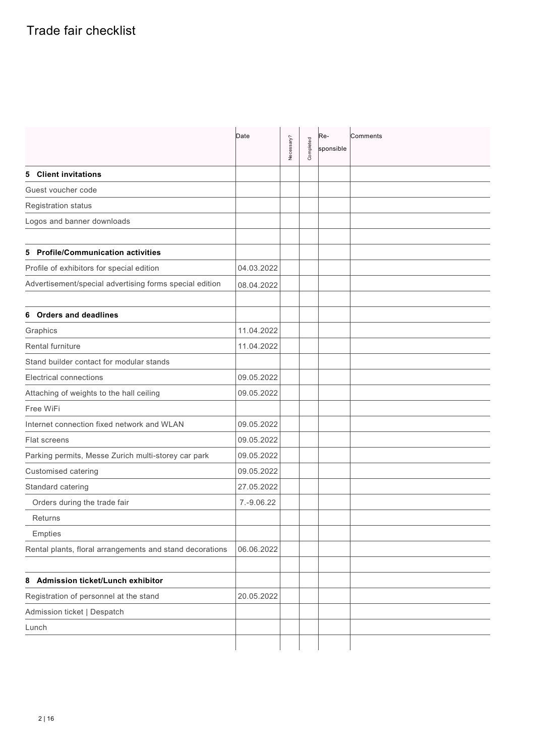|                                                          | Date       | Necessary? | Completed | Re-<br>sponsible | Comments |
|----------------------------------------------------------|------------|------------|-----------|------------------|----------|
| <b>Client invitations</b><br>5                           |            |            |           |                  |          |
| Guest voucher code                                       |            |            |           |                  |          |
| Registration status                                      |            |            |           |                  |          |
| Logos and banner downloads                               |            |            |           |                  |          |
|                                                          |            |            |           |                  |          |
| <b>Profile/Communication activities</b><br>5             |            |            |           |                  |          |
| Profile of exhibitors for special edition                | 04.03.2022 |            |           |                  |          |
| Advertisement/special advertising forms special edition  | 08.04.2022 |            |           |                  |          |
|                                                          |            |            |           |                  |          |
| <b>Orders and deadlines</b><br>6                         |            |            |           |                  |          |
| Graphics                                                 | 11.04.2022 |            |           |                  |          |
| <b>Rental furniture</b>                                  | 11.04.2022 |            |           |                  |          |
| Stand builder contact for modular stands                 |            |            |           |                  |          |
| <b>Electrical connections</b>                            | 09.05.2022 |            |           |                  |          |
| Attaching of weights to the hall ceiling                 | 09.05.2022 |            |           |                  |          |
| Free WiFi                                                |            |            |           |                  |          |
| Internet connection fixed network and WLAN               | 09.05.2022 |            |           |                  |          |
| <b>Flat screens</b>                                      | 09.05.2022 |            |           |                  |          |
| Parking permits, Messe Zurich multi-storey car park      | 09.05.2022 |            |           |                  |          |
| <b>Customised catering</b>                               | 09.05.2022 |            |           |                  |          |
| Standard catering                                        | 27.05.2022 |            |           |                  |          |
| Orders during the trade fair                             | 7.-9.06.22 |            |           |                  |          |
| <b>Returns</b>                                           |            |            |           |                  |          |
| Empties                                                  |            |            |           |                  |          |
| Rental plants, floral arrangements and stand decorations | 06.06.2022 |            |           |                  |          |
|                                                          |            |            |           |                  |          |
| Admission ticket/Lunch exhibitor<br>8                    |            |            |           |                  |          |
| Registration of personnel at the stand                   | 20.05.2022 |            |           |                  |          |
| Admission ticket   Despatch                              |            |            |           |                  |          |
| Lunch                                                    |            |            |           |                  |          |
|                                                          |            |            |           |                  |          |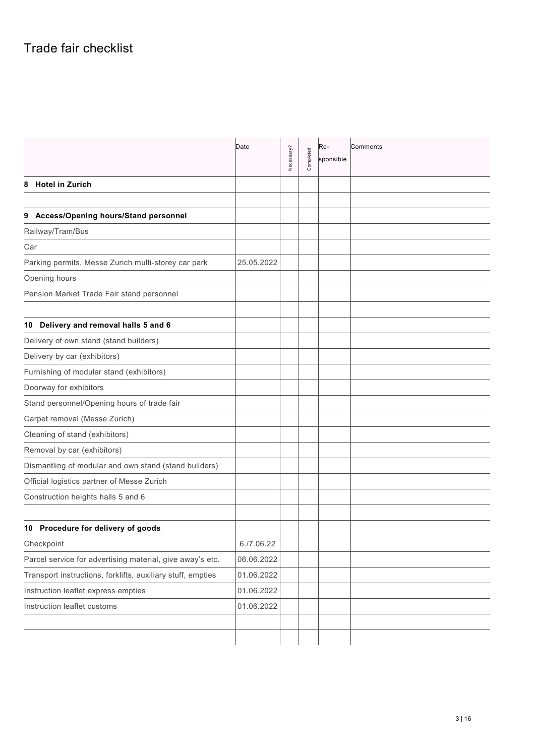|                                                             | Date       | Necessary? | Completed | Re-<br>sponsible | Comments |
|-------------------------------------------------------------|------------|------------|-----------|------------------|----------|
| <b>Hotel in Zurich</b><br>8                                 |            |            |           |                  |          |
|                                                             |            |            |           |                  |          |
| Access/Opening hours/Stand personnel<br>9                   |            |            |           |                  |          |
| Railway/Tram/Bus                                            |            |            |           |                  |          |
| Car                                                         |            |            |           |                  |          |
| Parking permits, Messe Zurich multi-storey car park         | 25.05.2022 |            |           |                  |          |
| Opening hours                                               |            |            |           |                  |          |
| Pension Market Trade Fair stand personnel                   |            |            |           |                  |          |
|                                                             |            |            |           |                  |          |
| 10 Delivery and removal halls 5 and 6                       |            |            |           |                  |          |
| Delivery of own stand (stand builders)                      |            |            |           |                  |          |
| Delivery by car (exhibitors)                                |            |            |           |                  |          |
| Furnishing of modular stand (exhibitors)                    |            |            |           |                  |          |
| Doorway for exhibitors                                      |            |            |           |                  |          |
| Stand personnel/Opening hours of trade fair                 |            |            |           |                  |          |
| Carpet removal (Messe Zurich)                               |            |            |           |                  |          |
| Cleaning of stand (exhibitors)                              |            |            |           |                  |          |
| Removal by car (exhibitors)                                 |            |            |           |                  |          |
| Dismantling of modular and own stand (stand builders)       |            |            |           |                  |          |
| Official logistics partner of Messe Zurich                  |            |            |           |                  |          |
| Construction heights halls 5 and 6                          |            |            |           |                  |          |
|                                                             |            |            |           |                  |          |
| 10 Procedure for delivery of goods                          |            |            |           |                  |          |
| Checkpoint                                                  | 6.77.06.22 |            |           |                  |          |
| Parcel service for advertising material, give away's etc.   | 06.06.2022 |            |           |                  |          |
| Transport instructions, forklifts, auxiliary stuff, empties | 01.06.2022 |            |           |                  |          |
| Instruction leaflet express empties                         | 01.06.2022 |            |           |                  |          |
| Instruction leaflet customs                                 | 01.06.2022 |            |           |                  |          |
|                                                             |            |            |           |                  |          |
|                                                             |            |            |           |                  |          |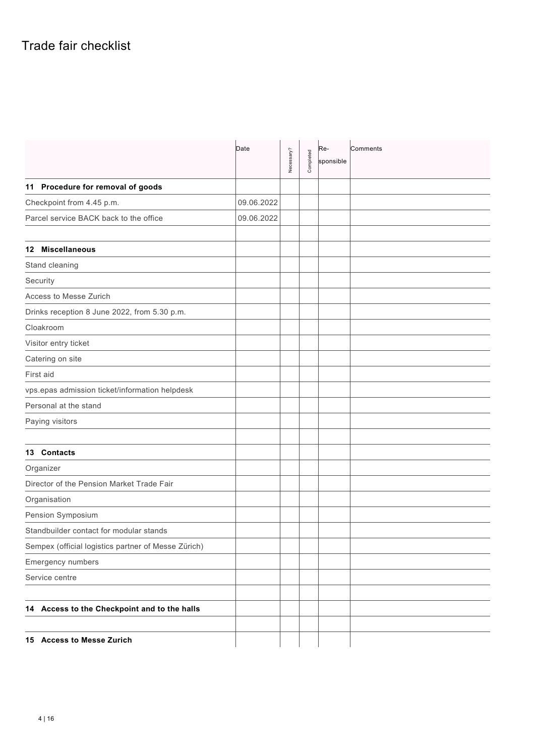|                                                     | Date       | Necessary? | Completed | Re-<br>sponsible | Comments |
|-----------------------------------------------------|------------|------------|-----------|------------------|----------|
| 11 Procedure for removal of goods                   |            |            |           |                  |          |
| Checkpoint from 4.45 p.m.                           | 09.06.2022 |            |           |                  |          |
| Parcel service BACK back to the office              | 09.06.2022 |            |           |                  |          |
|                                                     |            |            |           |                  |          |
| 12 Miscellaneous                                    |            |            |           |                  |          |
| Stand cleaning                                      |            |            |           |                  |          |
| Security                                            |            |            |           |                  |          |
| Access to Messe Zurich                              |            |            |           |                  |          |
| Drinks reception 8 June 2022, from 5.30 p.m.        |            |            |           |                  |          |
| Cloakroom                                           |            |            |           |                  |          |
| Visitor entry ticket                                |            |            |           |                  |          |
| Catering on site                                    |            |            |           |                  |          |
| First aid                                           |            |            |           |                  |          |
| vps.epas admission ticket/information helpdesk      |            |            |           |                  |          |
| Personal at the stand                               |            |            |           |                  |          |
| Paying visitors                                     |            |            |           |                  |          |
|                                                     |            |            |           |                  |          |
| 13 Contacts                                         |            |            |           |                  |          |
| Organizer                                           |            |            |           |                  |          |
| Director of the Pension Market Trade Fair           |            |            |           |                  |          |
| Organisation                                        |            |            |           |                  |          |
| Pension Symposium                                   |            |            |           |                  |          |
| Standbuilder contact for modular stands             |            |            |           |                  |          |
| Sempex (official logistics partner of Messe Zürich) |            |            |           |                  |          |
| Emergency numbers                                   |            |            |           |                  |          |
| Service centre                                      |            |            |           |                  |          |
|                                                     |            |            |           |                  |          |
| 14 Access to the Checkpoint and to the halls        |            |            |           |                  |          |
|                                                     |            |            |           |                  |          |
| 15 Access to Messe Zurich                           |            |            |           |                  |          |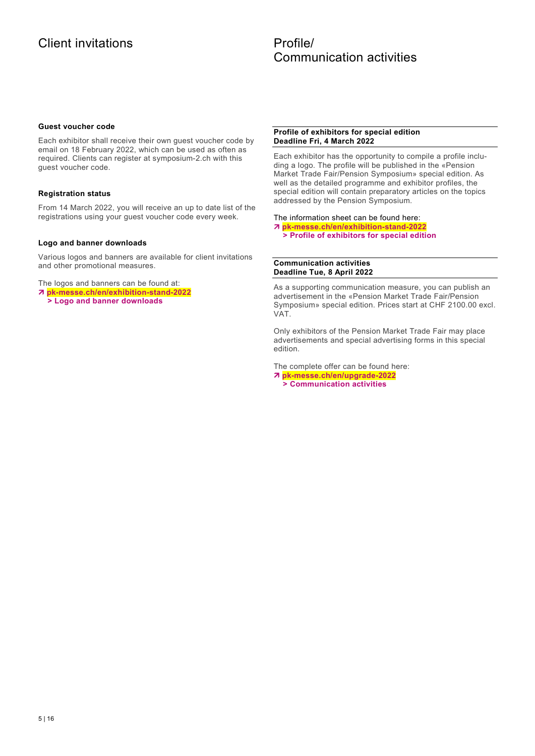### Profile/ Communication activities

### **Guest voucher code**

Each exhibitor shall receive their own guest voucher code by email on 18 February 2022, which can be used as often as required. Clients can register at symposium-2.ch with this guest voucher code.

### **Registration status**

From 14 March 2022, you will receive an up to date list of the registrations using your guest voucher code every week.

### **Logo and banner downloads**

Various logos and banners are available for client invitations and other promotional measures.

The logos and banners can be found at:

**pk-messe.ch/en/exhibition-stand-2022**

 **> Logo and banner downloads**

### **Profile of exhibitors for special edition Deadline Fri, 4 March 2022**

Each exhibitor has the opportunity to compile a profile including a logo. The profile will be published in the «Pension Market Trade Fair/Pension Symposium» special edition. As well as the detailed programme and exhibitor profiles, the special edition will contain preparatory articles on the topics addressed by the Pension Symposium.

### The information sheet can be found here:

- **pk-messe.ch/en/exhibition-stand-2022**
	- **> Profile of exhibitors for special edition**

### **Communication activities Deadline Tue, 8 April 2022**

As a supporting communication measure, you can publish an advertisement in the «Pension Market Trade Fair/Pension Symposium» special edition. Prices start at CHF 2100.00 excl. VAT.

Only exhibitors of the Pension Market Trade Fair may place advertisements and special advertising forms in this special edition.

The complete offer can be found here:

 **pk-messe.ch/en/upgrade-2022 > Communication activities**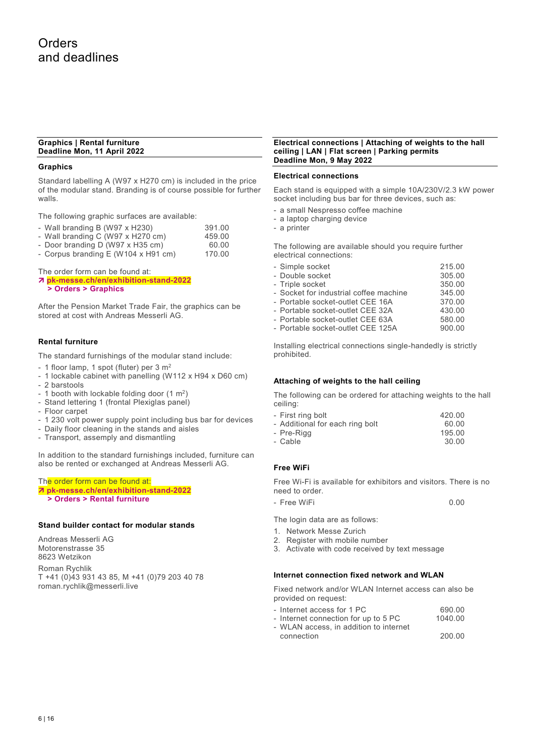### **Graphics | Rental furniture Deadline Mon, 11 April 2022**

### **Graphics**

Standard labelling A (W97 x H270 cm) is included in the price of the modular stand. Branding is of course possible for further walls.

The following graphic surfaces are available:

- Wall branding B (W97 x H230) 391.00
- Wall branding C (W97 x H270 cm) 459.00
- Door branding D (W97 x H35 cm) 60.00<br>- Corpus branding E (W104 x H91 cm) 170.00
- Corpus branding  $E$  (W104 x H91 cm)

The order form can be found at:

- **pk-messe.ch/en/exhibition-stand-2022**
- **> Orders > Graphics**

After the Pension Market Trade Fair, the graphics can be stored at cost with Andreas Messerli AG.

### **Rental furniture**

The standard furnishings of the modular stand include:

- 1 floor lamp, 1 spot (fluter) per 3 m<sup>2</sup>
- 1 lockable cabinet with panelling (W112 x H94 x D60 cm) - 2 barstools
- 1 booth with lockable folding door  $(1 \text{ m}^2)$
- Stand lettering 1 (frontal Plexiglas panel)
- Floor carpet
- 1 230 volt power supply point including bus bar for devices
- Daily floor cleaning in the stands and aisles
- Transport, assemply and dismantling

In addition to the standard furnishings included, furniture can also be rented or exchanged at Andreas Messerli AG.

### The order form can be found at: **pk-messe.ch/en/exhibition-stand-2022 > Orders > Rental furniture**

### **Stand builder contact for modular stands**

Andreas Messerli AG Motorenstrasse 35 8623 Wetzikon Roman Rychlik T +41 (0)43 931 43 85, M +41 (0)79 203 40 78 roman.rychlik@messerli.live

### **Electrical connections | Attaching of weights to the hall ceiling | LAN | Flat screen | Parking permits Deadline Mon, 9 May 2022**

### **Electrical connections**

Each stand is equipped with a simple 10A/230V/2.3 kW power socket including bus bar for three devices, such as:

- a small Nespresso coffee machine
- a laptop charging device
- a printer

The following are available should you require further electrical connections:

| - Simple socket                        | 215.00 |
|----------------------------------------|--------|
|                                        |        |
| - Double socket                        | 305.00 |
| - Triple socket                        | 350.00 |
| - Socket for industrial coffee machine | 345.00 |
| - Portable socket-outlet CEE 16A       | 370.00 |
| - Portable socket-outlet CEE 32A       | 430.00 |
| - Portable socket-outlet CEE 63A       | 580.00 |
| - Portable socket-outlet CEE 125A      | 900.00 |

Installing electrical connections single-handedly is strictly prohibited.

### **Attaching of weights to the hall ceiling**

The following can be ordered for attaching weights to the hall ceiling:

| - First ring bolt               | 420.00 |
|---------------------------------|--------|
| - Additional for each ring bolt | 60.00  |
| - Pre-Riga                      | 195 NN |

- Pre-Rigg 195.00 - Cable

### **Free WiFi**

Free Wi-Fi is available for exhibitors and visitors. There is no need to order.

- Free WiFi 0.00

The login data are as follows:

- 1. Network Messe Zurich
- 2. Register with mobile number
- 3. Activate with code received by text message

### **Internet connection fixed network and WLAN**

Fixed network and/or WLAN Internet access can also be provided on request:

- Internet access for 1 PC 690.00
- Internet connection for up to 5 PC 1040.00
- WLAN access, in addition to internet connection 200.00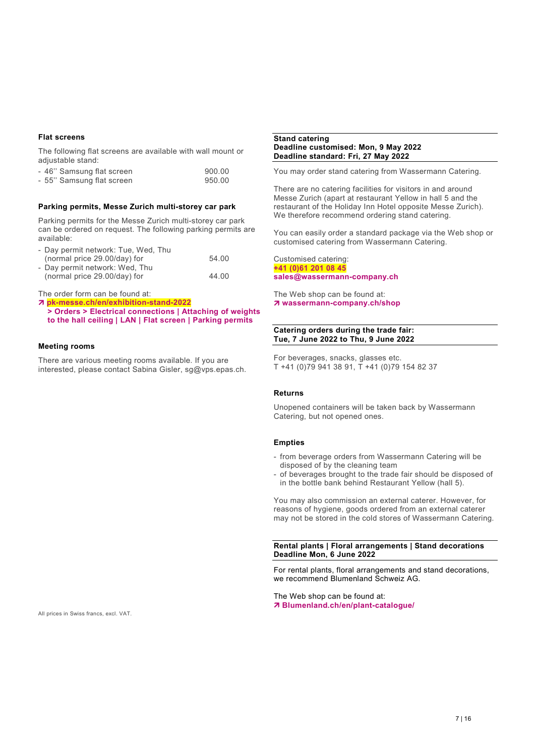### **Flat screens**

The following flat screens are available with wall mount or adjustable stand:

| - 46" Samsung flat screen | 900.00 |
|---------------------------|--------|
| - 55" Samsung flat screen | 950.00 |

### **Parking permits, Messe Zurich multi-storey car park**

Parking permits for the Messe Zurich multi-storey car park can be ordered on request. The following parking permits are available:

- Day permit network: Tue, Wed, Thu

| (normal price 29.00/day) for   | 54.00 |
|--------------------------------|-------|
| - Day permit network: Wed, Thu |       |
| (normal price 29.00/day) for   | 44.00 |

The order form can be found at:

 **pk-messe.ch/en/exhibition-stand-2022 > Orders > Electrical connections | Attaching of weights to the hall ceiling | LAN | Flat screen | Parking permits**

### **Meeting rooms**

There are various meeting rooms available. If you are interested, please contact Sabina Gisler, sg@vps.epas.ch.

#### **Stand catering Deadline customised: Mon, 9 May 2022 Deadline standard: Fri, 27 May 2022**

You may order stand catering from Wassermann Catering.

There are no catering facilities for visitors in and around Messe Zurich (apart at restaurant Yellow in hall 5 and the restaurant of the Holiday Inn Hotel opposite Messe Zurich). We therefore recommend ordering stand catering.

You can easily order a standard package via the Web shop or customised catering from Wassermann Catering.

Customised catering: **+41 (0)61 201 08 45 sales@wassermann-company.ch**

The Web shop can be found at: **wassermann-company.ch/shop**

### **Catering orders during the trade fair: Tue, 7 June 2022 to Thu, 9 June 2022**

For beverages, snacks, glasses etc. T +41 (0)79 941 38 91, T +41 (0)79 154 82 37

### **Returns**

Unopened containers will be taken back by Wassermann Catering, but not opened ones.

### **Empties**

- from beverage orders from Wassermann Catering will be disposed of by the cleaning team
- of beverages brought to the trade fair should be disposed of in the bottle bank behind Restaurant Yellow (hall 5).

You may also commission an external caterer. However, for reasons of hygiene, goods ordered from an external caterer may not be stored in the cold stores of Wassermann Catering.

### **Rental plants | Floral arrangements | Stand decorations Deadline Mon, 6 June 2022**

For rental plants, floral arrangements and stand decorations, we recommend Blumenland Schweiz AG.

The Web shop can be found at: **Blumenland.ch/en/plant-catalogue/**

All prices in Swiss francs, excl. VAT.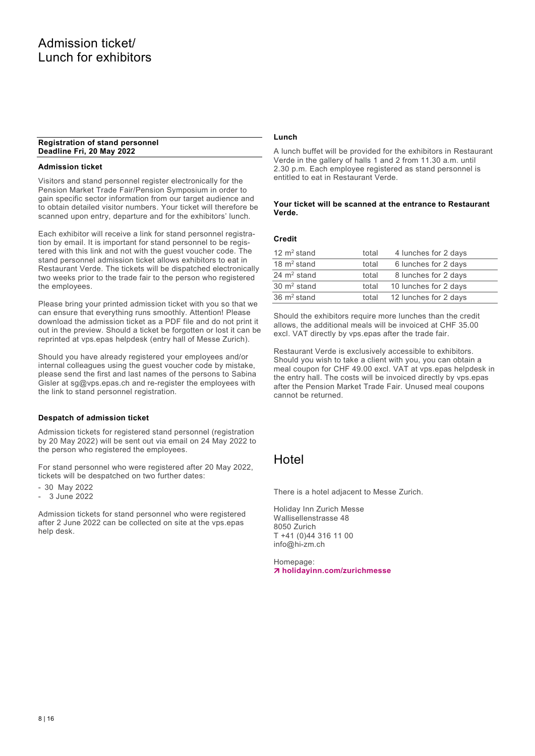### **Registration of stand personnel Deadline Fri, 20 May 2022**

### **Admission ticket**

Visitors and stand personnel register electronically for the Pension Market Trade Fair/Pension Symposium in order to gain specific sector information from our target audience and to obtain detailed visitor numbers. Your ticket will therefore be scanned upon entry, departure and for the exhibitors' lunch.

Each exhibitor will receive a link for stand personnel registration by email. It is important for stand personnel to be registered with this link and not with the guest voucher code. The stand personnel admission ticket allows exhibitors to eat in Restaurant Verde. The tickets will be dispatched electronically two weeks prior to the trade fair to the person who registered the employees.

Please bring your printed admission ticket with you so that we can ensure that everything runs smoothly. Attention! Please download the admission ticket as a PDF file and do not print it out in the preview. Should a ticket be forgotten or lost it can be reprinted at vps.epas helpdesk (entry hall of Messe Zurich).

Should you have already registered your employees and/or internal colleagues using the guest voucher code by mistake, please send the first and last names of the persons to Sabina Gisler at sg@vps.epas.ch and re-register the employees with the link to stand personnel registration.

### **Despatch of admission ticket**

Admission tickets for registered stand personnel (registration by 20 May 2022) will be sent out via email on 24 May 2022 to the person who registered the employees.

For stand personnel who were registered after 20 May 2022, tickets will be despatched on two further dates:

- 30 May 2022
- 3 June 2022

Admission tickets for stand personnel who were registered after 2 June 2022 can be collected on site at the vps.epas help desk.

### **Lunch**

A lunch buffet will be provided for the exhibitors in Restaurant Verde in the gallery of halls 1 and 2 from 11.30 a.m. until 2.30 p.m. Each employee registered as stand personnel is entitled to eat in Restaurant Verde.

### **Your ticket will be scanned at the entrance to Restaurant Verde.**

### **Credit**

| 12 $m^2$ stand         | total | 4 lunches for 2 days  |
|------------------------|-------|-----------------------|
| 18 $m2$ stand          | total | 6 lunches for 2 days  |
| 24 $m2$ stand          | total | 8 lunches for 2 days  |
| $30 \text{ m}^2$ stand | total | 10 lunches for 2 days |
| 36 $m2$ stand          | total | 12 lunches for 2 days |

Should the exhibitors require more lunches than the credit allows, the additional meals will be invoiced at CHF 35.00 excl. VAT directly by vps.epas after the trade fair.

Restaurant Verde is exclusively accessible to exhibitors. Should you wish to take a client with you, you can obtain a meal coupon for CHF 49.00 excl. VAT at vps.epas helpdesk in the entry hall. The costs will be invoiced directly by vps.epas after the Pension Market Trade Fair. Unused meal coupons cannot be returned.

### Hotel

There is a hotel adjacent to Messe Zurich.

Holiday Inn Zurich Messe Wallisellenstrasse 48 8050 Zurich T +41 (0)44 316 11 00 info@hi-zm.ch

Homepage: **holidayinn.com/zurichmesse**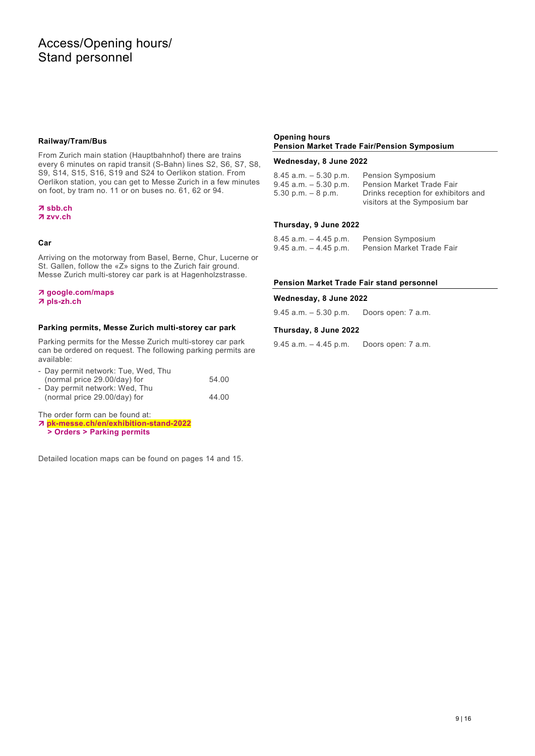### **Railway/Tram/Bus**

From Zurich main station (Hauptbahnhof) there are trains every 6 minutes on rapid transit (S-Bahn) lines S2, S6, S7, S8, S9, S14, S15, S16, S19 and S24 to Oerlikon station. From Oerlikon station, you can get to Messe Zurich in a few minutes on foot, by tram no. 11 or on buses no. 61, 62 or 94.

### **sbb.ch zvv.ch**

### **Car**

Arriving on the motorway from Basel, Berne, Chur, Lucerne or St. Gallen, follow the «Z» signs to the Zurich fair ground. Messe Zurich multi-storey car park is at Hagenholzstrasse.

### **google.com/maps pls-zh.ch**

### **Parking permits, Messe Zurich multi-storey car park**

Parking permits for the Messe Zurich multi-storey car park can be ordered on request. The following parking permits are available:

| - Day permit network: Tue, Wed, Thu |       |
|-------------------------------------|-------|
| (normal price 29.00/day) for        | 54.00 |
| - Day permit network: Wed, Thu      |       |
| (normal price 29.00/day) for        | 44.00 |

The order form can be found at:

 **pk-messe.ch/en/exhibition-stand-2022 > Orders > Parking permits**

Detailed location maps can be found on pages 14 and 15.

### **Opening hours Pension Market Trade Fair/Pension Symposium**

### **Wednesday, 8 June 2022**

| 8.45 a.m. – 5.30 p.m.    | Pension Symposium                   |
|--------------------------|-------------------------------------|
|                          |                                     |
| $9.45$ a.m. $-5.30$ p.m. | <b>Pension Market Trade Fair</b>    |
| $5.30$ p.m. $-8$ p.m.    | Drinks reception for exhibitors and |
|                          | visitors at the Symposium bar       |

### **Thursday, 9 June 2022**

| $8.45$ a.m. $-4.45$ p.m. | <b>Pension Symposium</b>         |
|--------------------------|----------------------------------|
| 9.45 a.m. – 4.45 p.m.    | <b>Pension Market Trade Fair</b> |

### **Pension Market Trade Fair stand personnel**

### **Wednesday, 8 June 2022**

9.45 a.m. – 5.30 p.m. Doors open: 7 a.m.

### **Thursday, 8 June 2022**

9.45 a.m. – 4.45 p.m. Doors open: 7 a.m.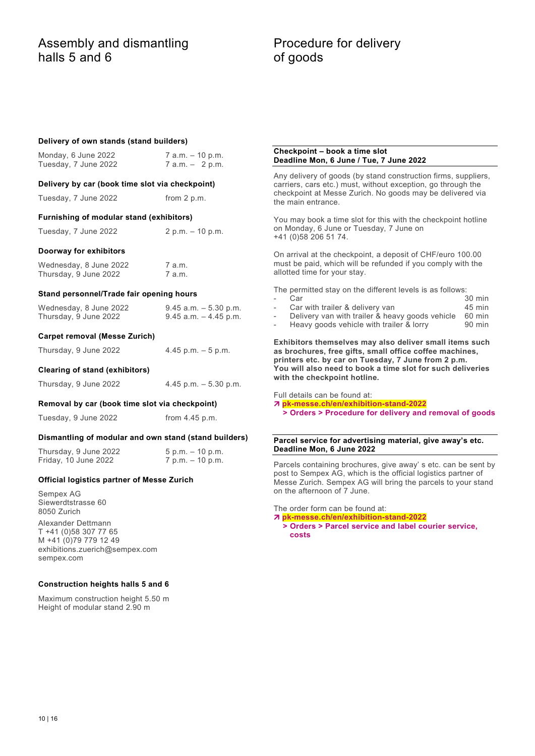### Assembly and dismantling halls 5 and 6

### Procedure for delivery of goods

### **Delivery of own stands (stand builders)**

| Monday, 6 June 2022<br>Tuesday, 7 June 2022           | 7 a.m. - 10 p.m.<br>$7$ a.m. $-$ 2 p.m.              | CHECKPOINT - DOOK & UNIE SIOL<br>Deadline Mon, 6 June / Tue, 7 June 2022                                                                                       |  |  |  |
|-------------------------------------------------------|------------------------------------------------------|----------------------------------------------------------------------------------------------------------------------------------------------------------------|--|--|--|
| Delivery by car (book time slot via checkpoint)       |                                                      | Any delivery of goods (by stand construction firms, suppliers,<br>carriers, cars etc.) must, without exception, go through the                                 |  |  |  |
| Tuesday, 7 June 2022                                  | from 2 p.m.                                          | checkpoint at Messe Zurich. No goods may be delivered via<br>the main entrance.                                                                                |  |  |  |
| Furnishing of modular stand (exhibitors)              |                                                      | You may book a time slot for this with the checkpoint hotline                                                                                                  |  |  |  |
| Tuesday, 7 June 2022                                  | $2 p.m. - 10 p.m.$                                   | on Monday, 6 June or Tuesday, 7 June on<br>+41 (0)58 206 51 74.                                                                                                |  |  |  |
| Doorway for exhibitors                                |                                                      | On arrival at the checkpoint, a deposit of CHF/euro 100.00                                                                                                     |  |  |  |
| Wednesday, 8 June 2022<br>Thursday, 9 June 2022       | 7 a.m.<br>7 a.m.                                     | must be paid, which will be refunded if you comply with the<br>allotted time for your stay.                                                                    |  |  |  |
| Stand personnel/Trade fair opening hours              |                                                      | The permitted stay on the different levels is as follows:<br>30 min<br>Car                                                                                     |  |  |  |
| Wednesday, 8 June 2022<br>Thursday, 9 June 2022       | $9.45$ a.m. $-5.30$ p.m.<br>$9.45$ a.m. $-4.45$ p.m. | Car with trailer & delivery van<br>$45$ min<br>Delivery van with trailer & heavy goods vehicle<br>60 min<br>Heavy goods vehicle with trailer & lorry<br>90 min |  |  |  |
| <b>Carpet removal (Messe Zurich)</b>                  |                                                      | Exhibitors themselves may also deliver small items such                                                                                                        |  |  |  |
| Thursday, 9 June 2022                                 | $4.45$ p.m. $-5$ p.m.                                | as brochures, free gifts, small office coffee machines,<br>printers etc. by car on Tuesday, 7 June from 2 p.m.                                                 |  |  |  |
| Clearing of stand (exhibitors)                        |                                                      | You will also need to book a time slot for such deliveries                                                                                                     |  |  |  |
| Thursday, 9 June 2022                                 | $4.45$ p.m. $-5.30$ p.m.                             | with the checkpoint hotline.                                                                                                                                   |  |  |  |
| Removal by car (book time slot via checkpoint)        |                                                      | Full details can be found at:<br>7 pk-messe.ch/en/exhibition-stand-2022                                                                                        |  |  |  |
| Tuesday, 9 June 2022                                  | from $4.45$ p.m.                                     | > Orders > Procedure for delivery and removal of goods                                                                                                         |  |  |  |
| Dismantling of modular and own stand (stand builders) |                                                      | Parcel service for advertising material, give away's etc.                                                                                                      |  |  |  |
| Thursday, 9 June 2022                                 | $5 p.m. - 10 p.m.$                                   | Deadline Mon, 6 June 2022                                                                                                                                      |  |  |  |
| Friday, 10 June 2022                                  | $7 p.m. - 10 p.m.$                                   | Parcels containing brochures, give away's etc. can be sent by                                                                                                  |  |  |  |
| <b>Official logistics partner of Messe Zurich</b>     |                                                      | post to Sempex AG, which is the official logistics partner of<br>Messe Zurich. Sempex AG will bring the parcels to your stand<br>on the afternoon of 7 June.   |  |  |  |
| Semnex AG                                             |                                                      |                                                                                                                                                                |  |  |  |

Sempex AG Siewerdtstrasse 60 8050 Zurich

Alexander Dettmann T +41 (0)58 307 77 65 M +41 (0)79 779 12 49 exhibitions.zuerich@sempex.com sempex.com

### **Construction heights halls 5 and 6**

Maximum construction height 5.50 m Height of modular stand 2.90 m

## **Checkpoint – book a time slot**

The order form can be found at:

 **pk-messe.ch/en/exhibition-stand-2022 > Orders > Parcel service and label courier service,** 

 **costs**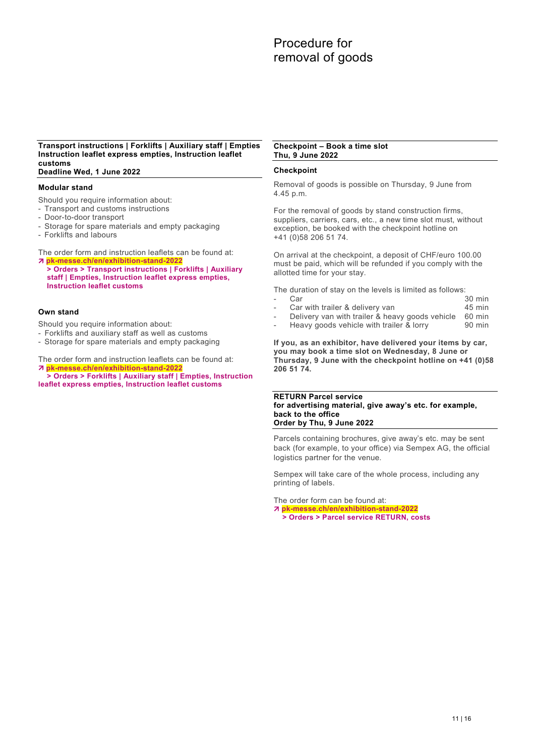### **Transport instructions | Forklifts | Auxiliary staff | Empties Instruction leaflet express empties, Instruction leaflet customs**

**Deadline Wed, 1 June 2022**

### **Modular stand**

- Should you require information about:
- Transport and customs instructions
- Door-to-door transport
- Storage for spare materials and empty packaging
- Forklifts and labours

The order form and instruction leaflets can be found at: **pk-messe.ch/en/exhibition-stand-2022**

 **> Orders > Transport instructions | Forklifts | Auxiliary staff | Empties, Instruction leaflet express empties, Instruction leaflet customs**

### **Own stand**

Should you require information about:

- Forklifts and auxiliary staff as well as customs
- Storage for spare materials and empty packaging

The order form and instruction leaflets can be found at:

 **pk-messe.ch/en/exhibition-stand-2022 > Orders > Forklifts | Auxiliary staff | Empties, Instruction leaflet express empties, Instruction leaflet customs**

#### **Checkpoint – Book a time slot Thu, 9 June 2022**

### **Checkpoint**

Removal of goods is possible on Thursday, 9 June from 4.45 p.m.

For the removal of goods by stand construction firms, suppliers, carriers, cars, etc., a new time slot must, without exception, be booked with the checkpoint hotline on +41 (0)58 206 51 74.

On arrival at the checkpoint, a deposit of CHF/euro 100.00 must be paid, which will be refunded if you comply with the allotted time for your stay.

The duration of stay on the levels is limited as follows:<br>- Car 30 min

- Car 30 min
- Car with trailer & delivery van **45 min**<br>Delivery van with trailer & heavy goods vehicle 60 min
- Delivery van with trailer & heavy goods vehicle 60 min<br>Heavy goods vehicle with trailer & lorry 90 min
- Heavy goods vehicle with trailer & lorry

**If you, as an exhibitor, have delivered your items by car, you may book a time slot on Wednesday, 8 June or Thursday, 9 June with the checkpoint hotline on +41 (0)58 206 51 74.**

### **RETURN Parcel service for advertising material, give away's etc. for example, back to the office Order by Thu, 9 June 2022**

Parcels containing brochures, give away's etc. may be sent back (for example, to your office) via Sempex AG, the official logistics partner for the venue.

Sempex will take care of the whole process, including any printing of labels.

The order form can be found at: **pk-messe.ch/en/exhibition-stand-2022**

 **> Orders > Parcel service RETURN, costs**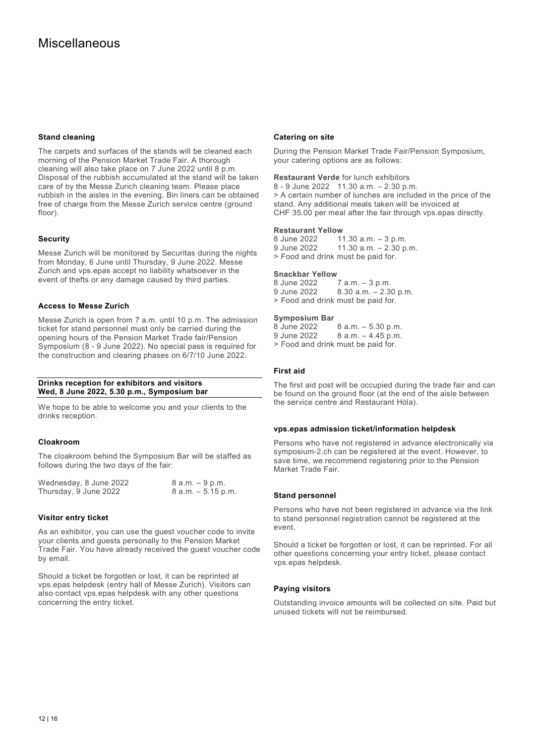### **Stand cleaning**

The carpets and surfaces of the stands will be cleaned each morning of the Pension Market Trade Fair. A thorough cleaning will also take place on 7 June 2022 until 8 p.m. Disposal of the rubbish accumulated at the stand will be taken care of by the Messe Zurich cleaning team. Please place rubbish in the aisles in the evening. Bin liners can be obtained free of charge from the Messe Zurich service centre (ground floor).

### **Security**

Messe Zurich will be monitored by Securitas during the nights from Monday, 6 June until Thursday, 9 June 2022. Messe Zurich and vps.epas accept no liability whatsoever in the event of thefts or any damage caused by third parties.

### **Access to Messe Zurich**

Messe Zurich is open from 7 a.m. until 10 p.m. The admission ticket for stand personnel must only be carried during the opening hours of the Pension Market Trade fair/Pension Symposium (8 - 9 June 2022). No special pass is required for the construction and clearing phases on 6/7/10 June 2022.

### **Drinks reception for exhibitors and visitors Wed, 8 June 2022, 5.30 p.m., Symposium bar**

We hope to be able to welcome you and your clients to the drinks reception.

### **Cloakroom**

The cloakroom behind the Symposium Bar will be staffed as follows during the two days of the fair:

| Wednesday, 8 June 2022 | 8 a.m. – 9 p.m.       |
|------------------------|-----------------------|
| Thursday, 9 June 2022  | $8$ a.m. $-5.15$ p.m. |

### **Visitor entry ticket**

As an exhibitor, you can use the guest voucher code to invite your clients and guests personally to the Pension Market Trade Fair. You have already received the guest voucher code by email.

Should a ticket be forgotten or lost, it can be reprinted at vps.epas helpdesk (entry hall of Messe Zurich). Visitors can also contact vps.epas helpdesk with any other questions concerning the entry ticket.

### **Catering on site**

During the Pension Market Trade Fair/Pension Symposium, your catering options are as follows:

**Restaurant Verde** for lunch exhibitors

8 - 9 June 2022 11.30 a.m. – 2.30 p.m. > A certain number of lunches are included in the price of the stand. Any additional meals taken will be invoiced at CHF 35.00 per meal after the fair through vps.epas directly.

### **Restaurant Yellow**<br>8 June 2022 1

8 June 2022 11.30 a.m. - 3 p.m.<br>9 June 2022 11.30 a.m. - 2.30 p  $11.30$  a.m.  $- 2.30$  p.m. > Food and drink must be paid for.

### **Snackbar Yellow**<br>8 June 2022

8 June 2022 7 a.m. – 3 p.m.<br>9 June 2022 8.30 a.m. – 2.3  $8.30$  a.m.  $- 2.30$  p.m. > Food and drink must be paid for.

### **Symposium Bar**

8 June 2022 8 a.m. – 5.30 p.m. 9 June 2022 8 a.m. – 4.45 p.m. > Food and drink must be paid for.

### **First aid**

The first aid post will be occupied during the trade fair and can be found on the ground floor (at the end of the aisle between the service centre and Restaurant Hòla).

### **vps.epas admission ticket/information helpdesk**

Persons who have not registered in advance electronically via symposium-2.ch can be registered at the event. However, to save time, we recommend registering prior to the Pension Market Trade Fair.

### **Stand personnel**

Persons who have not been registered in advance via the link to stand personnel registration cannot be registered at the event.

Should a ticket be forgotten or lost, it can be reprinted. For all other questions concerning your entry ticket, please contact vps.epas helpdesk.

### **Paying visitors**

Outstanding invoice amounts will be collected on site. Paid but unused tickets will not be reimbursed.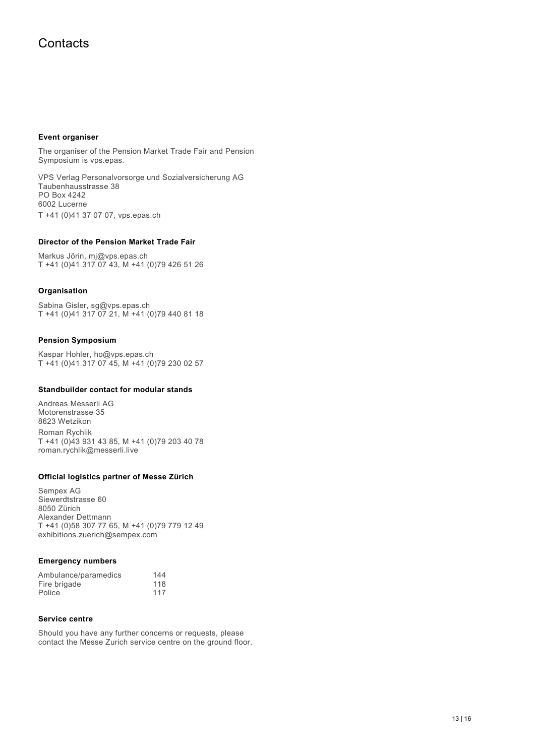### **Contacts**

### **Event organiser**

The organiser of the Pension Market Trade Fair and Pension Symposium is vps.epas.

VPS Verlag Personalvorsorge und Sozialversicherung AG Taubenhausstrasse 38 PO Box 4242 6002 Lucerne T +41 (0)41 37 07 07, vps.epas.ch

### **Director of the Pension Market Trade Fair**

Markus Jörin, mj@vps.epas.ch T +41 (0)41 317 07 43, M +41 (0)79 426 51 26

### **Organisation**

Sabina Gisler, sg@vps.epas.ch T +41 (0)41 317 07 21, M +41 (0)79 440 81 18

### **Pension Symposium**

Kaspar Hohler, ho@vps.epas.ch T +41 (0)41 317 07 45, M +41 (0)79 230 02 57

### **Standbuilder contact for modular stands**

Andreas Messerli AG Motorenstrasse 35 8623 Wetzikon Roman Rychlik T +41 (0)43 931 43 85, M +41 (0)79 203 40 78 roman.rychlik@messerli.live

### **Official logistics partner of Messe Zürich**

Sempex AG Siewerdtstrasse 60 8050 Zürich Alexander Dettmann T +41 (0)58 307 77 65, M +41 (0)79 779 12 49 exhibitions.zuerich@sempex.com

### **Emergency numbers**

| Ambulance/paramedics | 144 |
|----------------------|-----|
| Fire brigade         | 118 |
| Police               | 117 |

### **Service centre**

Should you have any further concerns or requests, please contact the Messe Zurich service centre on the ground floor.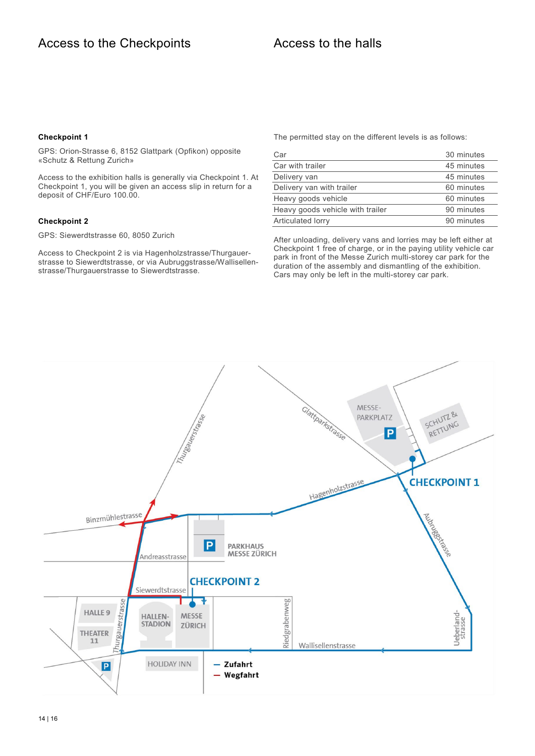### **Checkpoint 1**

GPS: Orion-Strasse 6, 8152 Glattpark (Opfikon) opposite «Schutz & Rettung Zurich»

Access to the exhibition halls is generally via Checkpoint 1. At Checkpoint 1, you will be given an access slip in return for a deposit of CHF/Euro 100.00.

### **Checkpoint 2**

GPS: Siewerdtstrasse 60, 8050 Zurich

Access to Checkpoint 2 is via Hagenholzstrasse/Thurgauerstrasse to Siewerdtstrasse, or via Aubruggstrasse/Wallisellenstrasse/Thurgauerstrasse to Siewerdtstrasse.

The permitted stay on the different levels is as follows:

| Car                              | 30 minutes |
|----------------------------------|------------|
| Car with trailer                 | 45 minutes |
| Delivery van                     | 45 minutes |
| Delivery van with trailer        | 60 minutes |
| Heavy goods vehicle              | 60 minutes |
| Heavy goods vehicle with trailer | 90 minutes |
| Articulated lorry                | 90 minutes |

After unloading, delivery vans and lorries may be left either at Checkpoint 1 free of charge, or in the paying utility vehicle car park in front of the Messe Zurich multi-storey car park for the duration of the assembly and dismantling of the exhibition. Cars may only be left in the multi-storey car park.

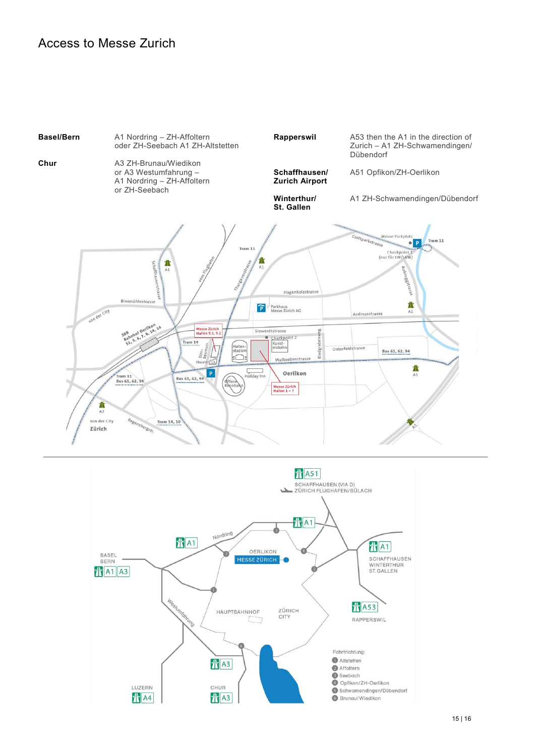### Access to Messe Zurich